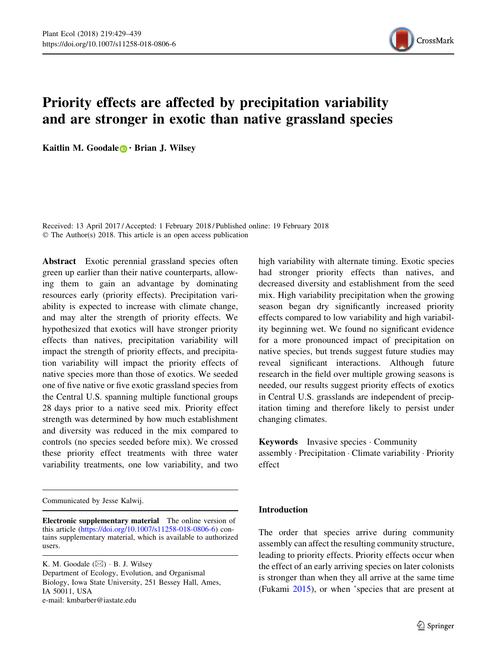

# Priority effects are affected by precipitation variability and are stronger in exotic than native grassland species

Kaitlin M. Goodale  $\mathbf{D} \cdot \mathbf{B}$ rian J. Wilsey

Received: 13 April 2017 / Accepted: 1 February 2018 / Published online: 19 February 2018 © The Author(s) 2018. This article is an open access publication

Abstract Exotic perennial grassland species often green up earlier than their native counterparts, allowing them to gain an advantage by dominating resources early (priority effects). Precipitation variability is expected to increase with climate change, and may alter the strength of priority effects. We hypothesized that exotics will have stronger priority effects than natives, precipitation variability will impact the strength of priority effects, and precipitation variability will impact the priority effects of native species more than those of exotics. We seeded one of five native or five exotic grassland species from the Central U.S. spanning multiple functional groups 28 days prior to a native seed mix. Priority effect strength was determined by how much establishment and diversity was reduced in the mix compared to controls (no species seeded before mix). We crossed these priority effect treatments with three water variability treatments, one low variability, and two

Communicated by Jesse Kalwij.

Electronic supplementary material The online version of this article [\(https://doi.org/10.1007/s11258-018-0806-6](https://doi.org/10.1007/s11258-018-0806-6)) contains supplementary material, which is available to authorized users.

K. M. Goodale  $(\boxtimes) \cdot$  B. J. Wilsey Department of Ecology, Evolution, and Organismal Biology, Iowa State University, 251 Bessey Hall, Ames, IA 50011, USA e-mail: kmbarber@iastate.edu

high variability with alternate timing. Exotic species had stronger priority effects than natives, and decreased diversity and establishment from the seed mix. High variability precipitation when the growing season began dry significantly increased priority effects compared to low variability and high variability beginning wet. We found no significant evidence for a more pronounced impact of precipitation on native species, but trends suggest future studies may reveal significant interactions. Although future research in the field over multiple growing seasons is needed, our results suggest priority effects of exotics in Central U.S. grasslands are independent of precipitation timing and therefore likely to persist under changing climates.

Keywords Invasive species - Community assembly - Precipitation - Climate variability - Priority effect

## Introduction

The order that species arrive during community assembly can affect the resulting community structure, leading to priority effects. Priority effects occur when the effect of an early arriving species on later colonists is stronger than when they all arrive at the same time (Fukami [2015](#page-9-0)), or when 'species that are present at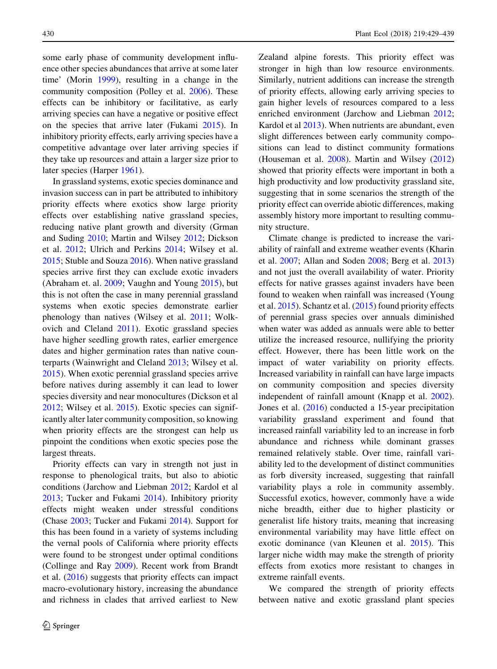some early phase of community development influence other species abundances that arrive at some later time' (Morin [1999](#page-9-0)), resulting in a change in the community composition (Polley et al. [2006](#page-9-0)). These effects can be inhibitory or facilitative, as early arriving species can have a negative or positive effect on the species that arrive later (Fukami [2015](#page-9-0)). In inhibitory priority effects, early arriving species have a competitive advantage over later arriving species if they take up resources and attain a larger size prior to later species (Harper [1961\)](#page-9-0).

In grassland systems, exotic species dominance and invasion success can in part be attributed to inhibitory priority effects where exotics show large priority effects over establishing native grassland species, reducing native plant growth and diversity (Grman and Suding [2010](#page-9-0); Martin and Wilsey [2012;](#page-9-0) Dickson et al. [2012](#page-9-0); Ulrich and Perkins [2014](#page-10-0); Wilsey et al. [2015;](#page-10-0) Stuble and Souza [2016](#page-10-0)). When native grassland species arrive first they can exclude exotic invaders (Abraham et. al. [2009;](#page-9-0) Vaughn and Young [2015](#page-10-0)), but this is not often the case in many perennial grassland systems when exotic species demonstrate earlier phenology than natives (Wilsey et al. [2011](#page-10-0); Wolkovich and Cleland [2011](#page-10-0)). Exotic grassland species have higher seedling growth rates, earlier emergence dates and higher germination rates than native counterparts (Wainwright and Cleland [2013](#page-10-0); Wilsey et al. [2015\)](#page-10-0). When exotic perennial grassland species arrive before natives during assembly it can lead to lower species diversity and near monocultures (Dickson et al [2012;](#page-9-0) Wilsey et al. [2015](#page-10-0)). Exotic species can significantly alter later community composition, so knowing when priority effects are the strongest can help us pinpoint the conditions when exotic species pose the largest threats.

Priority effects can vary in strength not just in response to phenological traits, but also to abiotic conditions (Jarchow and Liebman [2012;](#page-9-0) Kardol et al [2013;](#page-9-0) Tucker and Fukami [2014\)](#page-10-0). Inhibitory priority effects might weaken under stressful conditions (Chase [2003;](#page-9-0) Tucker and Fukami [2014\)](#page-10-0). Support for this has been found in a variety of systems including the vernal pools of California where priority effects were found to be strongest under optimal conditions (Collinge and Ray [2009](#page-9-0)). Recent work from Brandt et al. [\(2016](#page-9-0)) suggests that priority effects can impact macro-evolutionary history, increasing the abundance and richness in clades that arrived earliest to New Zealand alpine forests. This priority effect was stronger in high than low resource environments. Similarly, nutrient additions can increase the strength of priority effects, allowing early arriving species to gain higher levels of resources compared to a less enriched environment (Jarchow and Liebman [2012](#page-9-0); Kardol et al [2013\)](#page-9-0). When nutrients are abundant, even slight differences between early community compositions can lead to distinct community formations (Houseman et al. [2008\)](#page-9-0). Martin and Wilsey ([2012\)](#page-9-0) showed that priority effects were important in both a high productivity and low productivity grassland site, suggesting that in some scenarios the strength of the priority effect can override abiotic differences, making assembly history more important to resulting community structure.

Climate change is predicted to increase the variability of rainfall and extreme weather events (Kharin et al. [2007](#page-9-0); Allan and Soden [2008](#page-9-0); Berg et al. [2013\)](#page-9-0) and not just the overall availability of water. Priority effects for native grasses against invaders have been found to weaken when rainfall was increased (Young et al. [2015\)](#page-10-0). Schantz et al. [\(2015](#page-10-0)) found priority effects of perennial grass species over annuals diminished when water was added as annuals were able to better utilize the increased resource, nullifying the priority effect. However, there has been little work on the impact of water variability on priority effects. Increased variability in rainfall can have large impacts on community composition and species diversity independent of rainfall amount (Knapp et al. [2002](#page-9-0)). Jones et al. [\(2016](#page-9-0)) conducted a 15-year precipitation variability grassland experiment and found that increased rainfall variability led to an increase in forb abundance and richness while dominant grasses remained relatively stable. Over time, rainfall variability led to the development of distinct communities as forb diversity increased, suggesting that rainfall variability plays a role in community assembly. Successful exotics, however, commonly have a wide niche breadth, either due to higher plasticity or generalist life history traits, meaning that increasing environmental variability may have little effect on exotic dominance (van Kleunen et al. [2015\)](#page-10-0). This larger niche width may make the strength of priority effects from exotics more resistant to changes in extreme rainfall events.

We compared the strength of priority effects between native and exotic grassland plant species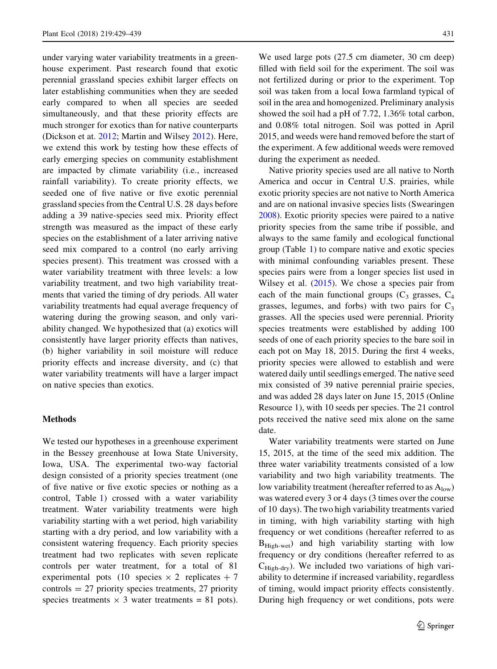under varying water variability treatments in a greenhouse experiment. Past research found that exotic perennial grassland species exhibit larger effects on later establishing communities when they are seeded early compared to when all species are seeded simultaneously, and that these priority effects are much stronger for exotics than for native counterparts (Dickson et at. [2012](#page-9-0); Martin and Wilsey [2012\)](#page-9-0). Here, we extend this work by testing how these effects of early emerging species on community establishment are impacted by climate variability (i.e., increased rainfall variability). To create priority effects, we seeded one of five native or five exotic perennial grassland species from the Central U.S. 28 days before adding a 39 native-species seed mix. Priority effect strength was measured as the impact of these early species on the establishment of a later arriving native seed mix compared to a control (no early arriving species present). This treatment was crossed with a water variability treatment with three levels: a low variability treatment, and two high variability treatments that varied the timing of dry periods. All water variability treatments had equal average frequency of watering during the growing season, and only variability changed. We hypothesized that (a) exotics will consistently have larger priority effects than natives, (b) higher variability in soil moisture will reduce priority effects and increase diversity, and (c) that water variability treatments will have a larger impact on native species than exotics.

#### Methods

We tested our hypotheses in a greenhouse experiment in the Bessey greenhouse at Iowa State University, Iowa, USA. The experimental two-way factorial design consisted of a priority species treatment (one of five native or five exotic species or nothing as a control, Table [1\)](#page-3-0) crossed with a water variability treatment. Water variability treatments were high variability starting with a wet period, high variability starting with a dry period, and low variability with a consistent watering frequency. Each priority species treatment had two replicates with seven replicate controls per water treatment, for a total of 81 experimental pots (10 species  $\times$  2 replicates  $+ 7$  $controls = 27$  priority species treatments, 27 priority species treatments  $\times$  3 water treatments = 81 pots).

We used large pots (27.5 cm diameter, 30 cm deep) filled with field soil for the experiment. The soil was not fertilized during or prior to the experiment. Top soil was taken from a local Iowa farmland typical of soil in the area and homogenized. Preliminary analysis showed the soil had a pH of 7.72, 1.36% total carbon, and 0.08% total nitrogen. Soil was potted in April 2015, and weeds were hand removed before the start of the experiment. A few additional weeds were removed during the experiment as needed.

Native priority species used are all native to North America and occur in Central U.S. prairies, while exotic priority species are not native to North America and are on national invasive species lists (Swearingen [2008\)](#page-10-0). Exotic priority species were paired to a native priority species from the same tribe if possible, and always to the same family and ecological functional group (Table [1](#page-3-0)) to compare native and exotic species with minimal confounding variables present. These species pairs were from a longer species list used in Wilsey et al. ([2015\)](#page-10-0). We chose a species pair from each of the main functional groups  $(C_3$  grasses,  $C_4$ grasses, legumes, and forbs) with two pairs for  $C_3$ grasses. All the species used were perennial. Priority species treatments were established by adding 100 seeds of one of each priority species to the bare soil in each pot on May 18, 2015. During the first 4 weeks, priority species were allowed to establish and were watered daily until seedlings emerged. The native seed mix consisted of 39 native perennial prairie species, and was added 28 days later on June 15, 2015 (Online Resource 1), with 10 seeds per species. The 21 control pots received the native seed mix alone on the same date.

Water variability treatments were started on June 15, 2015, at the time of the seed mix addition. The three water variability treatments consisted of a low variability and two high variability treatments. The low variability treatment (hereafter referred to as  $A_{low}$ ) was watered every 3 or 4 days (3 times over the course of 10 days). The two high variability treatments varied in timing, with high variability starting with high frequency or wet conditions (hereafter referred to as BHigh-wet) and high variability starting with low frequency or dry conditions (hereafter referred to as  $C_{High-dry}$ ). We included two variations of high variability to determine if increased variability, regardless of timing, would impact priority effects consistently. During high frequency or wet conditions, pots were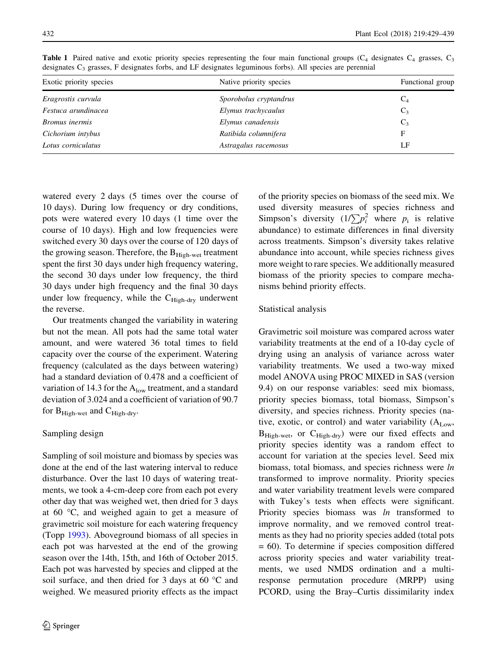| Exotic priority species | Native priority species | Functional group |
|-------------------------|-------------------------|------------------|
| Eragrostis curvula      | Sporobolus cryptandrus  | $C_4$            |
| Festuca arundinacea     | Elymus trachycaulus     | $C_3$            |
| <i>Bromus inermis</i>   | Elymus canadensis       | $C_3$            |
| Cichorium intybus       | Ratibida columnifera    |                  |
| Lotus corniculatus      | Astragalus racemosus    | LF               |

<span id="page-3-0"></span>**Table 1** Paired native and exotic priority species representing the four main functional groups  $(C_4$  designates  $C_4$  grasses,  $C_3$ designates C3 grasses, F designates forbs, and LF designates leguminous forbs). All species are perennial

watered every 2 days (5 times over the course of 10 days). During low frequency or dry conditions, pots were watered every 10 days (1 time over the course of 10 days). High and low frequencies were switched every 30 days over the course of 120 days of the growing season. Therefore, the  $B_{High-wet}$  treatment spent the first 30 days under high frequency watering, the second 30 days under low frequency, the third 30 days under high frequency and the final 30 days under low frequency, while the  $C_{High-dry}$  underwent the reverse.

Our treatments changed the variability in watering but not the mean. All pots had the same total water amount, and were watered 36 total times to field capacity over the course of the experiment. Watering frequency (calculated as the days between watering) had a standard deviation of 0.478 and a coefficient of variation of 14.3 for the  $A_{low}$  treatment, and a standard deviation of 3.024 and a coefficient of variation of 90.7 for  $B_{High-wet}$  and  $C_{High-dry}$ .

# Sampling design

Sampling of soil moisture and biomass by species was done at the end of the last watering interval to reduce disturbance. Over the last 10 days of watering treatments, we took a 4-cm-deep core from each pot every other day that was weighed wet, then dried for 3 days at  $60^\circ$ C, and weighed again to get a measure of gravimetric soil moisture for each watering frequency (Topp [1993](#page-10-0)). Aboveground biomass of all species in each pot was harvested at the end of the growing season over the 14th, 15th, and 16th of October 2015. Each pot was harvested by species and clipped at the soil surface, and then dried for 3 days at 60  $^{\circ}$ C and weighed. We measured priority effects as the impact of the priority species on biomass of the seed mix. We used diversity measures of species richness and Simpson's diversity  $(1/\sum p_i^2)$  where  $p_i$  is relative abundance) to estimate differences in final diversity across treatments. Simpson's diversity takes relative abundance into account, while species richness gives more weight to rare species. We additionally measured biomass of the priority species to compare mechanisms behind priority effects.

# Statistical analysis

Gravimetric soil moisture was compared across water variability treatments at the end of a 10-day cycle of drying using an analysis of variance across water variability treatments. We used a two-way mixed model ANOVA using PROC MIXED in SAS (version 9.4) on our response variables: seed mix biomass, priority species biomass, total biomass, Simpson's diversity, and species richness. Priority species (native, exotic, or control) and water variability  $(A_{Low}$ ,  $B_{High-wet}$ , or  $C_{High-dry}$  were our fixed effects and priority species identity was a random effect to account for variation at the species level. Seed mix biomass, total biomass, and species richness were ln transformed to improve normality. Priority species and water variability treatment levels were compared with Tukey's tests when effects were significant. Priority species biomass was *ln* transformed to improve normality, and we removed control treatments as they had no priority species added (total pots = 60). To determine if species composition differed across priority species and water variability treatments, we used NMDS ordination and a multiresponse permutation procedure (MRPP) using PCORD, using the Bray–Curtis dissimilarity index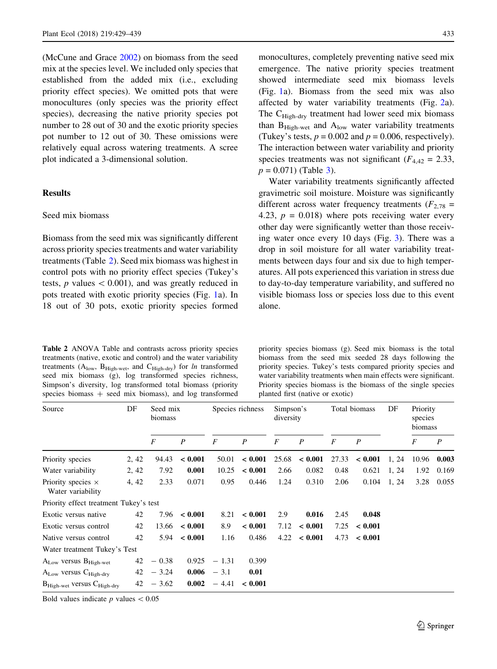<span id="page-4-0"></span>(McCune and Grace [2002\)](#page-9-0) on biomass from the seed mix at the species level. We included only species that established from the added mix (i.e., excluding priority effect species). We omitted pots that were monocultures (only species was the priority effect species), decreasing the native priority species pot number to 28 out of 30 and the exotic priority species pot number to 12 out of 30. These omissions were relatively equal across watering treatments. A scree plot indicated a 3-dimensional solution.

### Results

#### Seed mix biomass

Biomass from the seed mix was significantly different across priority species treatments and water variability treatments (Table 2). Seed mix biomass was highest in control pots with no priority effect species (Tukey's tests,  $p$  values  $\lt$  0.001), and was greatly reduced in pots treated with exotic priority species (Fig. [1](#page-5-0)a). In 18 out of 30 pots, exotic priority species formed

Table 2 ANOVA Table and contrasts across priority species treatments (native, exotic and control) and the water variability treatments ( $A_{low}$ ,  $B_{High-wet}$ , and  $C_{High-dry}$ ) for ln transformed seed mix biomass (g), log transformed species richness, Simpson's diversity, log transformed total biomass (priority species biomass  $+$  seed mix biomass), and log transformed

monocultures, completely preventing native seed mix emergence. The native priority species treatment showed intermediate seed mix biomass levels (Fig. [1](#page-5-0)a). Biomass from the seed mix was also affected by water variability treatments (Fig. [2a](#page-6-0)). The C<sub>High-dry</sub> treatment had lower seed mix biomass than  $B_{High-wet}$  and  $A_{low}$  water variability treatments (Tukey's tests,  $p = 0.002$  and  $p = 0.006$ , respectively). The interaction between water variability and priority species treatments was not significant ( $F_{4,42} = 2.33$ ,  $p = 0.071$ ) (Table [3](#page-7-0)).

Water variability treatments significantly affected gravimetric soil moisture. Moisture was significantly different across water frequency treatments ( $F_{2,78}$  = 4.23,  $p = 0.018$ ) where pots receiving water every other day were significantly wetter than those receiving water once every 10 days (Fig. [3](#page-7-0)). There was a drop in soil moisture for all water variability treatments between days four and six due to high temperatures. All pots experienced this variation in stress due to day-to-day temperature variability, and suffered no visible biomass loss or species loss due to this event alone.

priority species biomass (g). Seed mix biomass is the total biomass from the seed mix seeded 28 days following the priority species. Tukey's tests compared priority species and water variability treatments when main effects were significant. Priority species biomass is the biomass of the single species planted first (native or exotic)

| Source                                         | DF    | Seed mix<br>biomass |                  | Species richness |                  | Simpson's<br>diversity |                  | Total biomass |                  | DF    | Priority<br>species<br>biomass |                  |
|------------------------------------------------|-------|---------------------|------------------|------------------|------------------|------------------------|------------------|---------------|------------------|-------|--------------------------------|------------------|
|                                                |       | F                   | $\boldsymbol{P}$ | F                | $\boldsymbol{P}$ | F                      | $\boldsymbol{P}$ | F             | $\boldsymbol{P}$ |       | F                              | $\boldsymbol{P}$ |
| Priority species                               | 2, 42 | 94.43               | < 0.001          | 50.01            | < 0.001          | 25.68                  | ${}< 0.001$      | 27.33         | < 0.001          | 1, 24 | 10.96                          | 0.003            |
| Water variability                              | 2, 42 | 7.92                | 0.001            | 10.25            | < 0.001          | 2.66                   | 0.082            | 0.48          | 0.621            | 1, 24 | 1.92                           | 0.169            |
| Priority species $\times$<br>Water variability | 4, 42 | 2.33                | 0.071            | 0.95             | 0.446            | 1.24                   | 0.310            | 2.06          | 0.104            | 1, 24 | 3.28                           | 0.055            |
| Priority effect treatment Tukey's test         |       |                     |                  |                  |                  |                        |                  |               |                  |       |                                |                  |
| Exotic versus native                           | 42    | 7.96                | < 0.001          | 8.21             | < 0.001          | 2.9                    | 0.016            | 2.45          | 0.048            |       |                                |                  |
| Exotic versus control                          | 42    | 13.66               | ${}< 0.001$      | 8.9              | < 0.001          | 7.12                   | < 0.001          | 7.25          | < 0.001          |       |                                |                  |
| Native versus control                          | 42    | 5.94                | ${}< 0.001$      | 1.16             | 0.486            | 4.22                   | ${}< 0.001$      | 4.73          | < 0.001          |       |                                |                  |
| Water treatment Tukey's Test                   |       |                     |                  |                  |                  |                        |                  |               |                  |       |                                |                  |
| $A_{Low}$ versus $B_{High-wet}$                | 42    | $-0.38$             | 0.925            | $-1.31$          | 0.399            |                        |                  |               |                  |       |                                |                  |
| $A_{Low}$ versus $C_{High-dry}$                | 42    | $-3.24$             | 0.006            | $-3.1$           | 0.01             |                        |                  |               |                  |       |                                |                  |
| $B_{High-wet}$ versus $C_{High-dry}$           | 42    | $-3.62$             | 0.002            | $-4.41$          | < 0.001          |                        |                  |               |                  |       |                                |                  |

Bold values indicate  $p$  values  $\lt 0.05$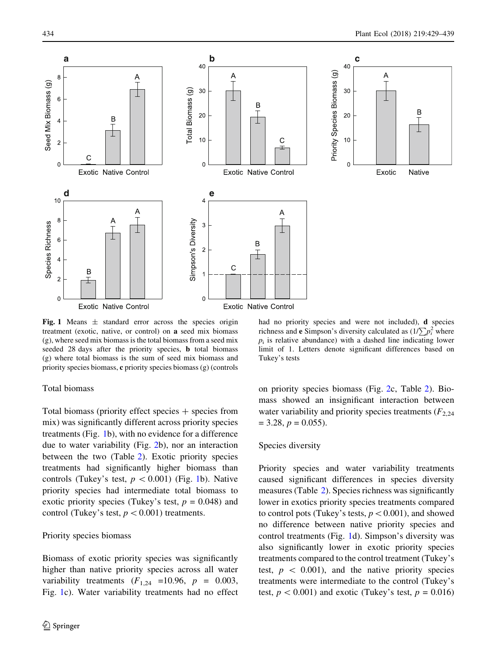<span id="page-5-0"></span>



Fig. 1 Means  $\pm$  standard error across the species origin treatment (exotic, native, or control) on a seed mix biomass (g), where seed mix biomass is the total biomass from a seed mix seeded 28 days after the priority species, **b** total biomass (g) where total biomass is the sum of seed mix biomass and priority species biomass, c priority species biomass (g) (controls

#### Total biomass

Total biomass (priority effect species  $+$  species from mix) was significantly different across priority species treatments (Fig. 1b), with no evidence for a difference due to water variability (Fig. [2b](#page-6-0)), nor an interaction between the two (Table [2\)](#page-4-0). Exotic priority species treatments had significantly higher biomass than controls (Tukey's test,  $p < 0.001$ ) (Fig. 1b). Native priority species had intermediate total biomass to exotic priority species (Tukey's test,  $p = 0.048$ ) and control (Tukey's test,  $p < 0.001$ ) treatments.

#### Priority species biomass

Biomass of exotic priority species was significantly higher than native priority species across all water variability treatments  $(F_{1,24} = 10.96, p = 0.003,$ Fig. 1c). Water variability treatments had no effect

had no priority species and were not included), d species richness and e Simpson's diversity calculated as  $(1/\sum p_i^2)$  where  $p_i$  is relative abundance) with a dashed line indicating lower limit of 1. Letters denote significant differences based on Tukey's tests

on priority species biomass (Fig. [2](#page-6-0)c, Table [2\)](#page-4-0). Biomass showed an insignificant interaction between water variability and priority species treatments  $(F_{2,24})$  $= 3.28, p = 0.055$ .

#### Species diversity

Priority species and water variability treatments caused significant differences in species diversity measures (Table [2\)](#page-4-0). Species richness was significantly lower in exotics priority species treatments compared to control pots (Tukey's tests,  $p < 0.001$ ), and showed no difference between native priority species and control treatments (Fig. 1d). Simpson's diversity was also significantly lower in exotic priority species treatments compared to the control treatment (Tukey's test,  $p \, < \, 0.001$ ), and the native priority species treatments were intermediate to the control (Tukey's test,  $p < 0.001$ ) and exotic (Tukey's test,  $p = 0.016$ )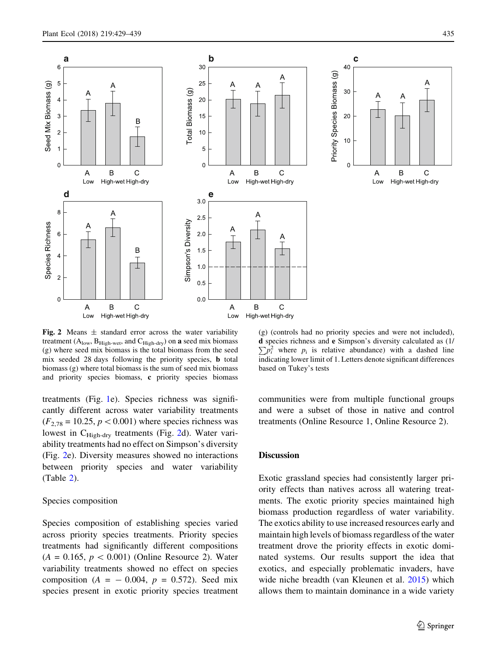<span id="page-6-0"></span>

Fig. 2 Means  $\pm$  standard error across the water variability treatment  $(A_{low}, B_{High-wt}$ , and  $C_{High-dry}$ ) on **a** seed mix biomass (g) where seed mix biomass is the total biomass from the seed mix seeded 28 days following the priority species, b total biomass (g) where total biomass is the sum of seed mix biomass and priority species biomass, c priority species biomass

treatments (Fig. [1e](#page-5-0)). Species richness was significantly different across water variability treatments  $(F_{2,78} = 10.25, p < 0.001)$  where species richness was lowest in  $C_{High-dry}$  treatments (Fig. 2d). Water variability treatments had no effect on Simpson's diversity (Fig. 2e). Diversity measures showed no interactions between priority species and water variability (Table [2](#page-4-0)).

#### Species composition

Species composition of establishing species varied across priority species treatments. Priority species treatments had significantly different compositions  $(A = 0.165, p < 0.001)$  (Online Resource 2). Water variability treatments showed no effect on species composition ( $A = -0.004$ ,  $p = 0.572$ ). Seed mix species present in exotic priority species treatment

(g) (controls had no priority species and were not included), d species richness and e Simpson's diversity calculated as (1/  $\sum p_i^2$  where  $p_i$  is relative abundance) with a dashed line indicating lower limit of 1. Letters denote significant differences based on Tukey's tests

communities were from multiple functional groups and were a subset of those in native and control treatments (Online Resource 1, Online Resource 2).

## **Discussion**

Exotic grassland species had consistently larger priority effects than natives across all watering treatments. The exotic priority species maintained high biomass production regardless of water variability. The exotics ability to use increased resources early and maintain high levels of biomass regardless of the water treatment drove the priority effects in exotic dominated systems. Our results support the idea that exotics, and especially problematic invaders, have wide niche breadth (van Kleunen et al. [2015](#page-10-0)) which allows them to maintain dominance in a wide variety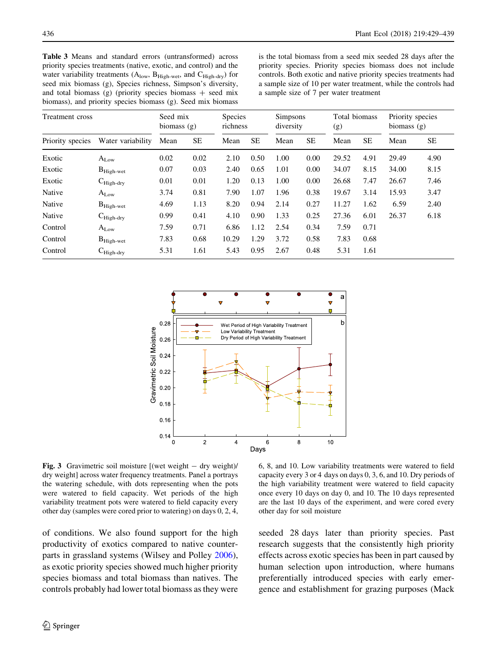<span id="page-7-0"></span>Table 3 Means and standard errors (untransformed) across priority species treatments (native, exotic, and control) and the water variability treatments  $(A<sub>low</sub>, B<sub>High-wet</sub>, and C<sub>High-dry</sub>)$  for seed mix biomass (g), Species richness, Simpson's diversity, and total biomass (g) (priority species biomass  $+$  seed mix biomass), and priority species biomass (g). Seed mix biomass

is the total biomass from a seed mix seeded 28 days after the priority species. Priority species biomass does not include controls. Both exotic and native priority species treatments had a sample size of 10 per water treatment, while the controls had a sample size of 7 per water treatment

| Treatment cross  |                       | Seed mix<br>biomass $(g)$ |           | <b>Species</b><br>richness |           | <b>Simpsons</b><br>diversity |           | Total biomass<br>(g) |           | Priority species<br>biomass $(g)$ |           |
|------------------|-----------------------|---------------------------|-----------|----------------------------|-----------|------------------------------|-----------|----------------------|-----------|-----------------------------------|-----------|
| Priority species | Water variability     | Mean                      | <b>SE</b> | Mean                       | <b>SE</b> | Mean                         | <b>SE</b> | Mean                 | <b>SE</b> | Mean                              | <b>SE</b> |
| Exotic           | $A_{Low}$             | 0.02                      | 0.02      | 2.10                       | 0.50      | 1.00                         | 0.00      | 29.52                | 4.91      | 29.49                             | 4.90      |
| Exotic           | $B_{High-wet}$        | 0.07                      | 0.03      | 2.40                       | 0.65      | 1.01                         | 0.00      | 34.07                | 8.15      | 34.00                             | 8.15      |
| Exotic           | $C_{\text{High-dry}}$ | 0.01                      | 0.01      | 1.20                       | 0.13      | 1.00                         | 0.00      | 26.68                | 7.47      | 26.67                             | 7.46      |
| Native           | $A_{Low}$             | 3.74                      | 0.81      | 7.90                       | 1.07      | 1.96                         | 0.38      | 19.67                | 3.14      | 15.93                             | 3.47      |
| Native           | $B_{High-wet}$        | 4.69                      | 1.13      | 8.20                       | 0.94      | 2.14                         | 0.27      | 11.27                | 1.62      | 6.59                              | 2.40      |
| Native           | $C_{\text{High-dry}}$ | 0.99                      | 0.41      | 4.10                       | 0.90      | 1.33                         | 0.25      | 27.36                | 6.01      | 26.37                             | 6.18      |
| Control          | $A_{Low}$             | 7.59                      | 0.71      | 6.86                       | 1.12      | 2.54                         | 0.34      | 7.59                 | 0.71      |                                   |           |
| Control          | $B_{High-wet}$        | 7.83                      | 0.68      | 10.29                      | 1.29      | 3.72                         | 0.58      | 7.83                 | 0.68      |                                   |           |
| Control          | $C_{High-dry}$        | 5.31                      | 1.61      | 5.43                       | 0.95      | 2.67                         | 0.48      | 5.31                 | 1.61      |                                   |           |



Fig. 3 Gravimetric soil moisture  $[(wet weight - dry weight)]$ dry weight] across water frequency treatments. Panel a portrays the watering schedule, with dots representing when the pots were watered to field capacity. Wet periods of the high variability treatment pots were watered to field capacity every other day (samples were cored prior to watering) on days 0, 2, 4,

of conditions. We also found support for the high productivity of exotics compared to native counterparts in grassland systems (Wilsey and Polley [2006](#page-10-0)), as exotic priority species showed much higher priority species biomass and total biomass than natives. The controls probably had lower total biomass as they were

6, 8, and 10. Low variability treatments were watered to field capacity every 3 or 4 days on days 0, 3, 6, and 10. Dry periods of the high variability treatment were watered to field capacity once every 10 days on day 0, and 10. The 10 days represented are the last 10 days of the experiment, and were cored every other day for soil moisture

seeded 28 days later than priority species. Past research suggests that the consistently high priority effects across exotic species has been in part caused by human selection upon introduction, where humans preferentially introduced species with early emergence and establishment for grazing purposes (Mack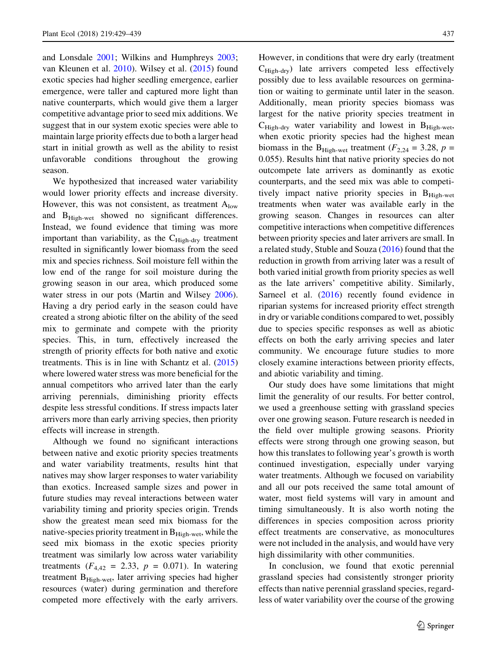and Lonsdale [2001;](#page-9-0) Wilkins and Humphreys [2003](#page-10-0); van Kleunen et al. [2010\)](#page-10-0). Wilsey et al. [\(2015](#page-10-0)) found exotic species had higher seedling emergence, earlier emergence, were taller and captured more light than native counterparts, which would give them a larger competitive advantage prior to seed mix additions. We suggest that in our system exotic species were able to maintain large priority effects due to both a larger head start in initial growth as well as the ability to resist unfavorable conditions throughout the growing season.

We hypothesized that increased water variability would lower priority effects and increase diversity. However, this was not consistent, as treatment  $A_{\text{low}}$ and B<sub>High-wet</sub> showed no significant differences. Instead, we found evidence that timing was more important than variability, as the  $C_{High-dry}$  treatment resulted in significantly lower biomass from the seed mix and species richness. Soil moisture fell within the low end of the range for soil moisture during the growing season in our area, which produced some water stress in our pots (Martin and Wilsey [2006](#page-9-0)). Having a dry period early in the season could have created a strong abiotic filter on the ability of the seed mix to germinate and compete with the priority species. This, in turn, effectively increased the strength of priority effects for both native and exotic treatments. This is in line with Schantz et al.  $(2015)$  $(2015)$ where lowered water stress was more beneficial for the annual competitors who arrived later than the early arriving perennials, diminishing priority effects despite less stressful conditions. If stress impacts later arrivers more than early arriving species, then priority effects will increase in strength.

Although we found no significant interactions between native and exotic priority species treatments and water variability treatments, results hint that natives may show larger responses to water variability than exotics. Increased sample sizes and power in future studies may reveal interactions between water variability timing and priority species origin. Trends show the greatest mean seed mix biomass for the native-species priority treatment in  $B_{High-wet}$ , while the seed mix biomass in the exotic species priority treatment was similarly low across water variability treatments ( $F_{4,42} = 2.33$ ,  $p = 0.071$ ). In watering treatment BHigh-wet, later arriving species had higher resources (water) during germination and therefore competed more effectively with the early arrivers. However, in conditions that were dry early (treatment  $C_{\text{High-dry}}$ ) late arrivers competed less effectively possibly due to less available resources on germination or waiting to germinate until later in the season. Additionally, mean priority species biomass was largest for the native priority species treatment in  $C_{\text{High-dry}}$  water variability and lowest in  $B_{\text{High-wet}}$ , when exotic priority species had the highest mean biomass in the B<sub>High-wet</sub> treatment ( $F_{2,24} = 3.28$ ,  $p =$ 0.055). Results hint that native priority species do not outcompete late arrivers as dominantly as exotic counterparts, and the seed mix was able to competitively impact native priority species in  $B_{High-<sub>wet</sub>}$ treatments when water was available early in the growing season. Changes in resources can alter competitive interactions when competitive differences between priority species and later arrivers are small. In a related study, Stuble and Souza [\(2016](#page-10-0)) found that the reduction in growth from arriving later was a result of both varied initial growth from priority species as well as the late arrivers' competitive ability. Similarly, Sarneel et al. ([2016\)](#page-9-0) recently found evidence in riparian systems for increased priority effect strength in dry or variable conditions compared to wet, possibly due to species specific responses as well as abiotic effects on both the early arriving species and later community. We encourage future studies to more closely examine interactions between priority effects, and abiotic variability and timing.

Our study does have some limitations that might limit the generality of our results. For better control, we used a greenhouse setting with grassland species over one growing season. Future research is needed in the field over multiple growing seasons. Priority effects were strong through one growing season, but how this translates to following year's growth is worth continued investigation, especially under varying water treatments. Although we focused on variability and all our pots received the same total amount of water, most field systems will vary in amount and timing simultaneously. It is also worth noting the differences in species composition across priority effect treatments are conservative, as monocultures were not included in the analysis, and would have very high dissimilarity with other communities.

In conclusion, we found that exotic perennial grassland species had consistently stronger priority effects than native perennial grassland species, regardless of water variability over the course of the growing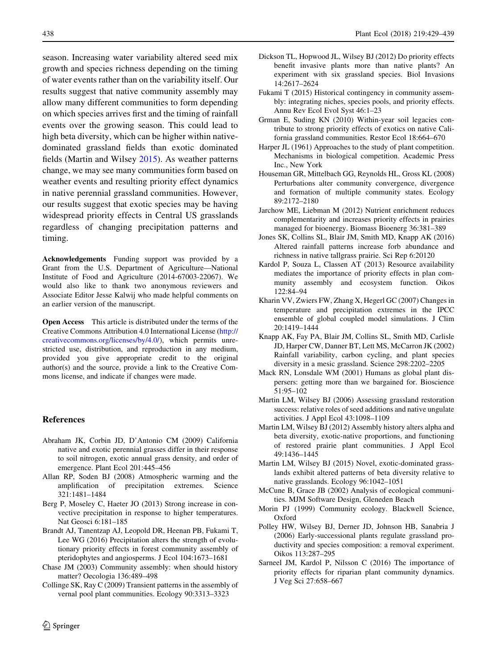<span id="page-9-0"></span>season. Increasing water variability altered seed mix growth and species richness depending on the timing of water events rather than on the variability itself. Our results suggest that native community assembly may allow many different communities to form depending on which species arrives first and the timing of rainfall events over the growing season. This could lead to high beta diversity, which can be higher within nativedominated grassland fields than exotic dominated fields (Martin and Wilsey 2015). As weather patterns change, we may see many communities form based on weather events and resulting priority effect dynamics in native perennial grassland communities. However, our results suggest that exotic species may be having widespread priority effects in Central US grasslands regardless of changing precipitation patterns and timing.

Acknowledgements Funding support was provided by a Grant from the U.S. Department of Agriculture—National Institute of Food and Agriculture (2014-67003-22067). We would also like to thank two anonymous reviewers and Associate Editor Jesse Kalwij who made helpful comments on an earlier version of the manuscript.

Open Access This article is distributed under the terms of the Creative Commons Attribution 4.0 International License ([http://](http://creativecommons.org/licenses/by/4.0/) [creativecommons.org/licenses/by/4.0/\)](http://creativecommons.org/licenses/by/4.0/), which permits unrestricted use, distribution, and reproduction in any medium, provided you give appropriate credit to the original author(s) and the source, provide a link to the Creative Commons license, and indicate if changes were made.

#### References

- Abraham JK, Corbin JD, D'Antonio CM (2009) California native and exotic perennial grasses differ in their response to soil nitrogen, exotic annual grass density, and order of emergence. Plant Ecol 201:445–456
- Allan RP, Soden BJ (2008) Atmospheric warming and the amplification of precipitation extremes. Science 321:1481–1484
- Berg P, Moseley C, Haeter JO (2013) Strong increase in convective precipitation in response to higher temperatures. Nat Geosci 6:181–185
- Brandt AJ, Tanentzap AJ, Leopold DR, Heenan PB, Fukami T, Lee WG (2016) Precipitation alters the strength of evolutionary priority effects in forest community assembly of pteridophytes and angiosperms. J Ecol 104:1673–1681
- Chase JM (2003) Community assembly: when should history matter? Oecologia 136:489–498
- Collinge SK, Ray C (2009) Transient patterns in the assembly of vernal pool plant communities. Ecology 90:3313–3323
- Dickson TL, Hopwood JL, Wilsey BJ (2012) Do priority effects benefit invasive plants more than native plants? An experiment with six grassland species. Biol Invasions 14:2617–2624
- Fukami T (2015) Historical contingency in community assembly: integrating niches, species pools, and priority effects. Annu Rev Ecol Evol Syst 46:1–23
- Grman E, Suding KN (2010) Within-year soil legacies contribute to strong priority effects of exotics on native California grassland communities. Restor Ecol 18:664–670
- Harper JL (1961) Approaches to the study of plant competition. Mechanisms in biological competition. Academic Press Inc., New York
- Houseman GR, Mittelbach GG, Reynolds HL, Gross KL (2008) Perturbations alter community convergence, divergence and formation of multiple community states. Ecology 89:2172–2180
- Jarchow ME, Liebman M (2012) Nutrient enrichment reduces complementarity and increases priority effects in prairies managed for bioenergy. Biomass Bioenerg 36:381–389
- Jones SK, Collins SL, Blair JM, Smith MD, Knapp AK (2016) Altered rainfall patterns increase forb abundance and richness in native tallgrass prairie. Sci Rep 6:20120
- Kardol P, Souza L, Classen AT (2013) Resource availability mediates the importance of priority effects in plan community assembly and ecosystem function. Oikos 122:84–94
- Kharin VV, Zwiers FW, Zhang X, Hegerl GC (2007) Changes in temperature and precipitation extremes in the IPCC ensemble of global coupled model simulations. J Clim 20:1419–1444
- Knapp AK, Fay PA, Blair JM, Collins SL, Smith MD, Carlisle JD, Harper CW, Danner BT, Lett MS, McCarron JK (2002) Rainfall variability, carbon cycling, and plant species diversity in a mesic grassland. Science 298:2202–2205
- Mack RN, Lonsdale WM (2001) Humans as global plant dispersers: getting more than we bargained for. Bioscience 51:95–102
- Martin LM, Wilsey BJ (2006) Assessing grassland restoration success: relative roles of seed additions and native ungulate activities. J Appl Ecol 43:1098–1109
- Martin LM, Wilsey BJ (2012) Assembly history alters alpha and beta diversity, exotic-native proportions, and functioning of restored prairie plant communities. J Appl Ecol 49:1436–1445
- Martin LM, Wilsey BJ (2015) Novel, exotic-dominated grasslands exhibit altered patterns of beta diversity relative to native grasslands. Ecology 96:1042–1051
- McCune B, Grace JB (2002) Analysis of ecological communities. MJM Software Design, Gleneden Beach
- Morin PJ (1999) Community ecology. Blackwell Science, Oxford
- Polley HW, Wilsey BJ, Derner JD, Johnson HB, Sanabria J (2006) Early-successional plants regulate grassland productivity and species composition: a removal experiment. Oikos 113:287–295
- Sarneel JM, Kardol P, Nilsson C (2016) The importance of priority effects for riparian plant community dynamics. J Veg Sci 27:658–667